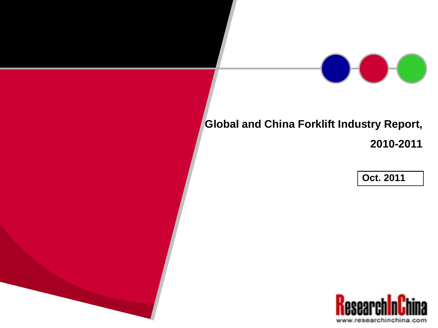## **Global and China Forklift Industry Report,**

**2010-2011**

**Oct. 2011**

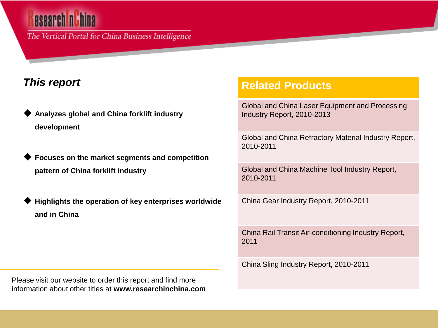# esearch ni hina

The Vertical Portal for China Business Intelligence

### *This report*

- **Analyzes global and China forklift industry development**
- **Focuses on the market segments and competition pattern of China forklift industry**
- **Highlights the operation of key enterprises worldwide and in China**

Please visit our website to order this report and find more information about other titles at **www.researchinchina.com**

### **Related Products**

Global and China Laser Equipment and Processing Industry Report, 2010-2013

Global and China Refractory Material Industry Report, 2010-2011

Global and China Machine Tool Industry Report, 2010-2011

China Gear Industry Report, 2010-2011

China Rail Transit Air-conditioning Industry Report, 2011

China Sling Industry Report, 2010-2011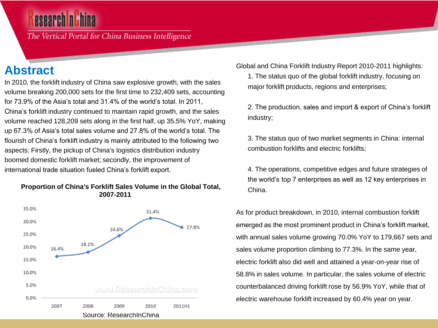The Vertical Portal for China Business Intelligence

## **Abstract**

In 2010, the forklift industry of China saw explosive growth, with the sales volume breaking 200,000 sets for the first time to 232,409 sets, accounting for 73.9% of the Asia's total and 31.4% of the world's total. In 2011, China's forklift industry continued to maintain rapid growth, and the sales volume reached 128,209 sets along in the first half, up 35.5% YoY, making up 67.3% of Asia's total sales volume and 27.8% of the world's total. The flourish of China's forklift industry is mainly attributed to the following two aspects: Firstly, the pickup of China's logistics distribution industry boomed domestic forklift market; secondly, the improvement of international trade situation fueled China's forklift export.



#### **Proportion of China's Forklift Sales Volume in the Global Total, 2007-2011**

Global and China Forklift Industry Report 2010-2011 highlights:

1. The status quo of the global forklift industry, focusing on major forklift products, regions and enterprises;

2. The production, sales and import & export of China's forklift industry;

3. The status quo of two market segments in China: internal combustion forklifts and electric forklifts;

4. The operations, competitive edges and future strategies of the world's top 7 enterprises as well as 12 key enterprises in China.

As for product breakdown, in 2010, internal combustion forklift emerged as the most prominent product in China's forklift market, with annual sales volume growing 70.0% YoY to 179,667 sets and sales volume proportion climbing to 77.3%. In the same year, electric forklift also did well and attained a year-on-year rise of 58.8% in sales volume. In particular, the sales volume of electric counterbalanced driving forklift rose by 56.9% YoY, while that of electric warehouse forklift increased by 60.4% year on year.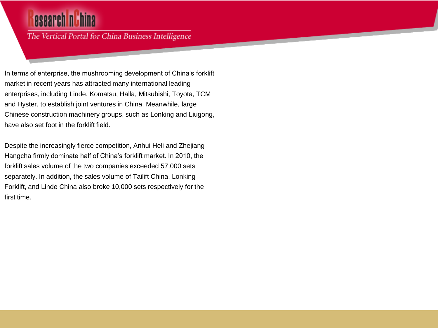## esearch nuhina

The Vertical Portal for China Business Intelligence

In terms of enterprise, the mushrooming development of China's forklift market in recent years has attracted many international leading enterprises, including Linde, Komatsu, Halla, Mitsubishi, Toyota, TCM and Hyster, to establish joint ventures in China. Meanwhile, large Chinese construction machinery groups, such as Lonking and Liugong, have also set foot in the forklift field.

Despite the increasingly fierce competition, Anhui Heli and Zhejiang Hangcha firmly dominate half of China's forklift market. In 2010, the forklift sales volume of the two companies exceeded 57,000 sets separately. In addition, the sales volume of Tailift China, Lonking Forklift, and Linde China also broke 10,000 sets respectively for the first time.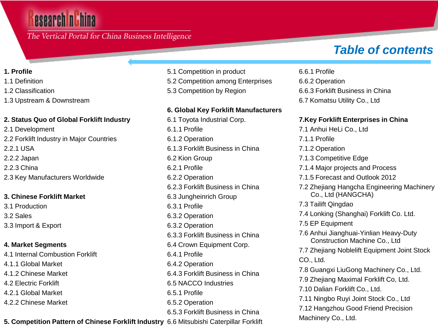## esearch n**ithina**

The Vertical Portal for China Business Intelligence

#### **1. Profile**

- 1.1 Definition
- 1.2 Classification
- 1.3 Upstream & Downstream

#### **2. Status Quo of Global Forklift Industry**

2.1 Development 2.2 Forklift Industry in Major Countries 2.2.1 USA 2.2.2 Japan 2.2.3 China 2.3 Key Manufacturers Worldwide

#### **3. Chinese Forklift Market**

3.1 Production 3.2 Sales 3.3 Import & Export

#### **4. Market Segments**

4.1 Internal Combustion Forklift 4.1.1 Global Market 4.1.2 Chinese Market 4.2 Electric Forklift 4.2.1 Global Market 4.2.2 Chinese Market

- 5.1 Competition in product
- 5.2 Competition among Enterprises
- 5.3 Competition by Region

#### **6. Global Key Forklift Manufacturers**

**5. Competition Pattern of Chinese Forklift Industry** 6.6 Mitsubishi Caterpillar Forklift 6.1 Toyota Industrial Corp. 6.1.1 Profile 6.1.2 Operation 6.1.3 Forklift Business in China 6.2 Kion Group 6.2.1 Profile 6.2.2 Operation 6.2.3 Forklift Business in China 6.3 Jungheinrich Group 6.3.1 Profile 6.3.2 Operation 6.3.2 Operation 6.3.3 Forklift Business in China 6.4 Crown Equipment Corp. 6.4.1 Profile 6.4.2 Operation 6.4.3 Forklift Business in China 6.5 NACCO Industries 6.5.1 Profile 6.5.2 Operation 6.5.3 Forklift Business in China

## *Table of contents*

6.6.1 Profile 6.6.2 Operation 6.6.3 Forklift Business in China 6.7 Komatsu Utility Co., Ltd

#### **7.Key Forklift Enterprises in China**

- 7.1 Anhui HeLi Co., Ltd
- 7.1.1 Profile
- 7.1.2 Operation
- 7.1.3 Competitive Edge
- 7.1.4 Major projects and Process
- 7.1.5 Forecast and Outlook 2012
- 7.2 Zhejiang Hangcha Engineering Machinery Co., Ltd (HANGCHA)
- 7.3 Tailift Qingdao
- 7.4 Lonking (Shanghai) Forklift Co. Ltd.
- 7.5 EP Equipment
- 7.6 Anhui Jianghuai-Yinlian Heavy-Duty Construction Machine Co., Ltd
- 7.7 Zhejiang Noblelift Equipment Joint Stock CO., Ltd.
- 7.8 Guangxi LiuGong Machinery Co., Ltd.
- 7.9 Zhejiang Maximal Forklift Co, Ltd.
- 7.10 Dalian Forklift Co., Ltd.
- 7.11 Ningbo Ruyi Joint Stock Co., Ltd
- 7.12 Hangzhou Good Friend Precision Machinery Co., Ltd.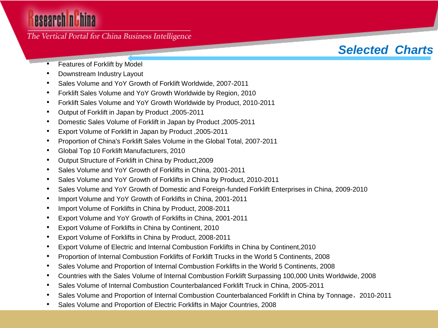# esearch nuhina

### The Vertical Portal for China Business Intelligence

## *Selected Charts*

- Features of Forklift by Model
- Downstream Industry Layout
- Sales Volume and YoY Growth of Forklift Worldwide, 2007-2011
- Forklift Sales Volume and YoY Growth Worldwide by Region, 2010
- Forklift Sales Volume and YoY Growth Worldwide by Product, 2010-2011
- Output of Forklift in Japan by Product ,2005-2011
- Domestic Sales Volume of Forklift in Japan by Product ,2005-2011
- Export Volume of Forklift in Japan by Product ,2005-2011
- Proportion of China's Forklift Sales Volume in the Global Total, 2007-2011
- Global Top 10 Forklift Manufacturers, 2010
- Output Structure of Forklift in China by Product,2009
- Sales Volume and YoY Growth of Forklifts in China, 2001-2011
- Sales Volume and YoY Growth of Forklifts in China by Product, 2010-2011
- Sales Volume and YoY Growth of Domestic and Foreign-funded Forklift Enterprises in China, 2009-2010
- Import Volume and YoY Growth of Forklifts in China, 2001-2011
- Import Volume of Forklifts in China by Product, 2008-2011
- Export Volume and YoY Growth of Forklifts in China, 2001-2011
- Export Volume of Forklifts in China by Continent, 2010
- Export Volume of Forklifts in China by Product, 2008-2011
- Export Volume of Electric and Internal Combustion Forklifts in China by Continent,2010
- Proportion of Internal Combustion Forklifts of Forklift Trucks in the World 5 Continents, 2008
- Sales Volume and Proportion of Internal Combustion Forklifts in the World 5 Continents, 2008
- Countries with the Sales Volume of Internal Combustion Forklift Surpassing 100,000 Units Worldwide, 2008
- Sales Volume of Internal Combustion Counterbalanced Forklift Truck in China, 2005-2011
- Sales Volume and Proportion of Internal Combustion Counterbalanced Forklift in China by Tonnage,2010-2011
- Sales Volume and Proportion of Electric Forklifts in Major Countries, 2008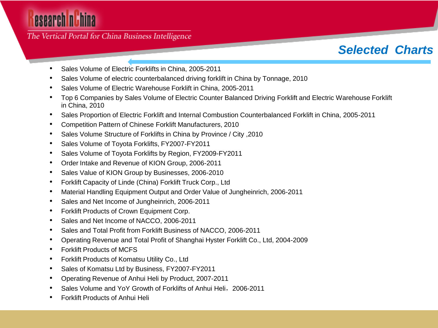The Vertical Portal for China Business Intelligence

## *Selected Charts*

- Sales Volume of Electric Forklifts in China, 2005-2011
- Sales Volume of electric counterbalanced driving forklift in China by Tonnage, 2010
- Sales Volume of Electric Warehouse Forklift in China, 2005-2011
- Top 6 Companies by Sales Volume of Electric Counter Balanced Driving Forklift and Electric Warehouse Forklift in China, 2010
- Sales Proportion of Electric Forklift and Internal Combustion Counterbalanced Forklift in China, 2005-2011
- Competition Pattern of Chinese Forklift Manufacturers, 2010
- Sales Volume Structure of Forklifts in China by Province / City ,2010
- Sales Volume of Toyota Forklifts, FY2007-FY2011
- Sales Volume of Toyota Forklifts by Region, FY2009-FY2011
- Order Intake and Revenue of KION Group, 2006-2011
- Sales Value of KION Group by Businesses, 2006-2010
- Forklift Capacity of Linde (China) Forklift Truck Corp., Ltd
- Material Handling Equipment Output and Order Value of Jungheinrich, 2006-2011
- Sales and Net Income of Jungheinrich, 2006-2011
- Forklift Products of Crown Equipment Corp.
- Sales and Net Income of NACCO, 2006-2011
- Sales and Total Profit from Forklift Business of NACCO, 2006-2011
- Operating Revenue and Total Profit of Shanghai Hyster Forklift Co., Ltd, 2004-2009
- Forklift Products of MCFS
- Forklift Products of Komatsu Utility Co., Ltd
- Sales of Komatsu Ltd by Business, FY2007-FY2011
- Operating Revenue of Anhui Heli by Product, 2007-2011
- Sales Volume and YoY Growth of Forklifts of Anhui Heli,2006-2011
- Forklift Products of Anhui Heli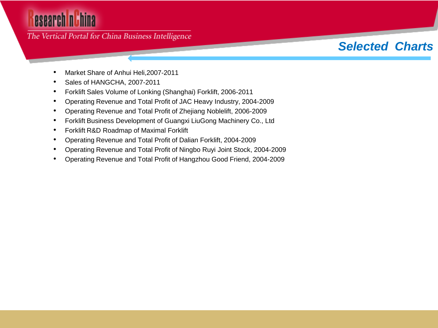# esearch nuhina

### The Vertical Portal for China Business Intelligence

#### • Market Share of Anhui Heli,2007-2011

- Sales of HANGCHA, 2007-2011
- Forklift Sales Volume of Lonking (Shanghai) Forklift, 2006-2011
- Operating Revenue and Total Profit of JAC Heavy Industry, 2004-2009
- Operating Revenue and Total Profit of Zhejiang Noblelift, 2006-2009
- Forklift Business Development of Guangxi LiuGong Machinery Co., Ltd
- Forklift R&D Roadmap of Maximal Forklift
- Operating Revenue and Total Profit of Dalian Forklift, 2004-2009
- Operating Revenue and Total Profit of Ningbo Ruyi Joint Stock, 2004-2009
- Operating Revenue and Total Profit of Hangzhou Good Friend, 2004-2009

## *Selected Charts*